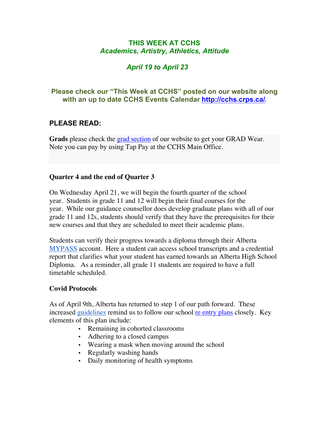## **THIS WEEK AT CCHS** *Academics, Artistry, Athletics, Attitude*

# *April 19 to April 23*

## **Please check our "This Week at CCHS" posted on our website along with an up to date CCHS Events Calendar<http://cchs.crps.ca/>**.

# **PLEASE READ:**

**Grads** please check the grad [section](https://cchs.crps.ca/view.php?action=object&id=555&stream=Announcements) of our website to get your GRAD Wear. Note you can pay by using Tap Pay at the CCHS Main Office.

### **Quarter 4 and the end of Quarter 3**

On Wednesday April 21, we will begin the fourth quarter of the school year. Students in grade 11 and 12 will begin their final courses for the year. While our guidance counsellor does develop graduate plans with all of our grade 11 and 12s, students should verify that they have the prerequisites for their new courses and that they are scheduled to meet their academic plans.

Students can verify their progress towards a diploma through their Alberta [MYPASS](https://public.education.alberta.ca/PASI/myPass/welcome) account. Here a student can access school transcripts and a credential report that clarifies what your student has earned towards an Alberta High School Diploma. As a reminder, all grade 11 students are required to have a full timetable scheduled.

### **Covid Protocols**

As of April 9th, Alberta has returned to step 1 of our path forward. These increased [guidelines](https://www.alberta.ca/enhanced-public-health-measures.aspx#restrictions) remind us to follow our school [re entry plans](https://cchs.crps.ca/documents/general/CCHS Re-entry Plan 2020-21- Parent Verison.pdf) closely. Key elements of this plan include:

- Remaining in cohorted classrooms
- Adhering to a closed campus
- Wearing a mask when moving around the school
- Regularly washing hands
- Daily monitoring of health symptoms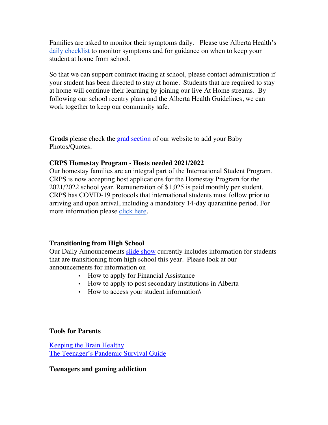Families are asked to monitor their symptoms daily. Please use Alberta Health's [daily checklist](https://open.alberta.ca/dataset/56c020ed-1782-4c6c-bfdd-5af36754471f/resource/1ce7775d-90af-4746-892f-603ae0bebb27/download/covid-19-information-alberta-health-daily-checklist-2021-02.pdf) to monitor symptoms and for guidance on when to keep your student at home from school.

So that we can support contract tracing at school, please contact administration if your student has been directed to stay at home. Students that are required to stay at home will continue their learning by joining our live At Home streams. By following our school reentry plans and the Alberta Health Guidelines, we can work together to keep our community safe.

**Grads** please check the [grad section](https://cchs.crps.ca/view.php?action=object&id=555&stream=Announcements) of our website to add your Baby Photos/Quotes.

### **CRPS Homestay Program - Hosts needed 2021/2022**

Our homestay families are an integral part of the International Student Program. CRPS is now accepting host applications for the Homestay Program for the 2021/2022 school year. Remuneration of \$1,025 is paid monthly per student. CRPS has COVID-19 protocols that international students must follow prior to arriving and upon arrival, including a mandatory 14-day quarantine period. For more information please [click here](https://crps.ca/Homestay Program.php).

### **Transitioning from High School**

Our Daily Announcements [slide show](https://docs.google.com/presentation/d/1eKIacynJnXoiOT2vNIyyWorRDtkcVp_c5pX052OGIN8/edit?usp=sharing) currently includes information for students that are transitioning from high school this year. Please look at our announcements for information on

- How to apply for Financial Assistance
- How to apply to post secondary institutions in Alberta
- How to access your student information\

### **Tools for Parents**

[Keeping the Brain Healthy](https://cchs.crps.ca/documents/general/keeping the brain healthy_1.jpg) [The Teenager's Pandemic Survival Guide](https://cchs.crps.ca/documents/general/The Teenagers Pandemic Survival Guide_1.jpg)

### **Teenagers and gaming addiction**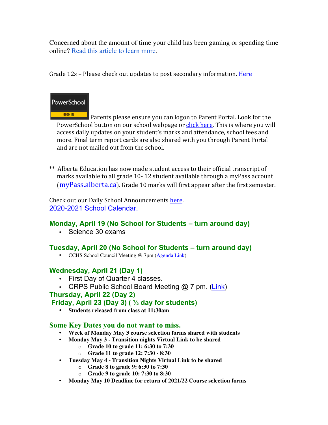Concerned about the amount of time your child has been gaming or spending time online? [Read this article to learn more](https://docs.google.com/document/d/1Ox97B7KI-nSHRxPBq-b_8SErmtiuX6sM1NCVODxmpk8/edit?usp=sharing).

Grade  $12s$  – Please check out updates to post secondary information. Here



SIGN IN Parents please ensure you can logon to Parent Portal. Look for the PowerSchool button on our school webpage or click here. This is where you will access daily updates on your student's marks and attendance, school fees and more. Final term report cards are also shared with you through Parent Portal and are not mailed out from the school.

\*\* Alberta Education has now made student access to their official transcript of marks available to all grade 10-12 student available through a myPass account  $(mvPass.alberta.ca)$ . Grade 10 marks will first appear after the first semester.

Check out our Daily School Announcements here. [2020-2021 School Calendar.](https://crps.ca/documents/general/Final 2020-2021 Learning Calendar.pdf)

# **Monday, April 19 (No School for Students – turn around day)**

• Science 30 exams

## **Tuesday, April 20 (No School for Students – turn around day)**

• CCHS School Council Meeting @ 7pm [\(Agenda Link](https://docs.google.com/document/d/1VPTae85MG1wP__aKvaZI7eV0w8wT9j2XQFInLW93uSU/edit?usp=sharing))

# **Wednesday, April 21 (Day 1)**

- First Day of Quarter 4 classes.
- CRPS Public School Board Meeting @ 7 pm. [\(Link](https://crps.ca/documents/general/Board Meeting Agenda April 2021.pdf))

## **Thursday, April 22 (Day 2)**

## **Friday, April 23 (Day 3) ( ½ day for students)**

• **Students released from class at 11:30am**

## **Some Key Dates you do not want to miss.**

- **Week of Monday May 3 course selection forms shared with students**
- **Monday May 3 - Transition nights Virtual Link to be shared**
	- o **Grade 10 to grade 11: 6:30 to 7:30**
	- o **Grade 11 to grade 12: 7:30 - 8:30**
- **Tuesday May 4 - Transition Nights Virtual Link to be shared**
	- o **Grade 8 to grade 9: 6:30 to 7:30**
	- o **Grade 9 to grade 10: 7:30 to 8:30**
- **Monday May 10 Deadline for return of 2021/22 Course selection forms**